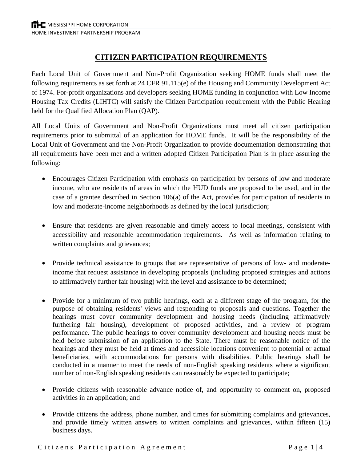# **CITIZEN PARTICIPATION REQUIREMENTS**

Each Local Unit of Government and Non-Profit Organization seeking HOME funds shall meet the following requirements as set forth at 24 CFR 91.115(e) of the Housing and Community Development Act of 1974. For-profit organizations and developers seeking HOME funding in conjunction with Low Income Housing Tax Credits (LIHTC) will satisfy the Citizen Participation requirement with the Public Hearing held for the Qualified Allocation Plan (QAP).

All Local Units of Government and Non-Profit Organizations must meet all citizen participation requirements prior to submittal of an application for HOME funds. It will be the responsibility of the Local Unit of Government and the Non-Profit Organization to provide documentation demonstrating that all requirements have been met and a written adopted Citizen Participation Plan is in place assuring the following:

- Encourages Citizen Participation with emphasis on participation by persons of low and moderate income, who are residents of areas in which the HUD funds are proposed to be used, and in the case of a grantee described in Section 106(a) of the Act, provides for participation of residents in low and moderate-income neighborhoods as defined by the local jurisdiction;
- Ensure that residents are given reasonable and timely access to local meetings, consistent with accessibility and reasonable accommodation requirements. As well as information relating to written complaints and grievances;
- Provide technical assistance to groups that are representative of persons of low- and moderateincome that request assistance in developing proposals (including proposed strategies and actions to affirmatively further fair housing) with the level and assistance to be determined;
- Provide for a minimum of two public hearings, each at a different stage of the program, for the purpose of obtaining residents' views and responding to proposals and questions. Together the hearings must cover community development and housing needs (including affirmatively furthering fair housing), development of proposed activities, and a review of program performance. The public hearings to cover community development and housing needs must be held before submission of an application to the State. There must be reasonable notice of the hearings and they must be held at times and accessible locations convenient to potential or actual beneficiaries, with accommodations for persons with disabilities. Public hearings shall be conducted in a manner to meet the needs of non-English speaking residents where a significant number of non-English speaking residents can reasonably be expected to participate;
- Provide citizens with reasonable advance notice of, and opportunity to comment on, proposed activities in an application; and
- Provide citizens the address, phone number, and times for submitting complaints and grievances, and provide timely written answers to written complaints and grievances, within fifteen (15) business days.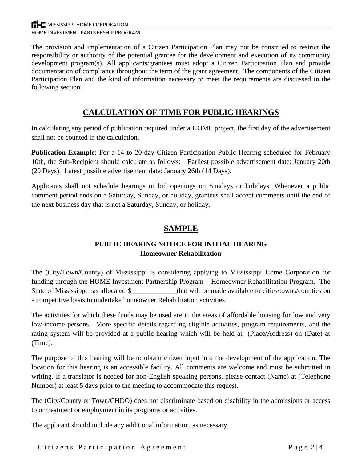The provision and implementation of a Citizen Participation Plan may not be construed to restrict the responsibility or authority of the potential grantee for the development and execution of its community development program(s). All applicants/grantees must adopt a Citizen Participation Plan and provide documentation of compliance throughout the term of the grant agreement. The components of the Citizen Participation Plan and the kind of information necessary to meet the requirements are discussed in the following section.

## **CALCULATION OF TIME FOR PUBLIC HEARINGS**

In calculating any period of publication required under a HOME project, the first day of the advertisement shall not be counted in the calculation.

**Publication Example**: For a 14 to 20-day Citizen Participation Public Hearing scheduled for February 10th, the Sub-Recipient should calculate as follows: Earliest possible advertisement date: January 20th (20 Days). Latest possible advertisement date: January 26th (14 Days).

Applicants shall not schedule hearings or bid openings on Sundays or holidays. Whenever a public comment period ends on a Saturday, Sunday, or holiday, grantees shall accept comments until the end of the next business day that is not a Saturday, Sunday, or holiday.

# **SAMPLE**

#### **PUBLIC HEARING NOTICE FOR INITIAL HEARING Homeowner Rehabilitation**

The (City/Town/County) of Mississippi is considering applying to Mississippi Home Corporation for funding through the HOME Investment Partnership Program – Homeowner Rehabilitation Program. The State of Mississippi has allocated \$\_\_\_\_\_\_\_\_\_\_\_\_\_that will be made available to cities/towns/counties on a competitive basis to undertake homeowner Rehabilitation activities.

The activities for which these funds may be used are in the areas of affordable housing for low and very low-income persons. More specific details regarding eligible activities, program requirements, and the rating system will be provided at a public hearing which will be held at (Place/Address) on (Date) at (Time).

The purpose of this hearing will be to obtain citizen input into the development of the application. The location for this hearing is an accessible facility. All comments are welcome and must be submitted in writing. If a translator is needed for non-English speaking persons, please contact (Name) at (Telephone Number) at least 5 days prior to the meeting to accommodate this request.

The (City/County or Town/CHDO) does not discriminate based on disability in the admissions or access to or treatment or employment in its programs or activities.

The applicant should include any additional information, as necessary.

Citizens Participation Agreement Page 2|4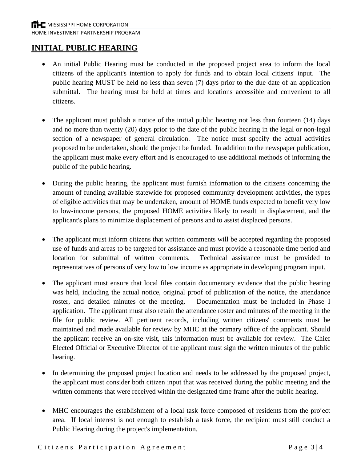### **INITIAL PUBLIC HEARING**

- An initial Public Hearing must be conducted in the proposed project area to inform the local citizens of the applicant's intention to apply for funds and to obtain local citizens' input. The public hearing MUST be held no less than seven (7) days prior to the due date of an application submittal. The hearing must be held at times and locations accessible and convenient to all citizens.
- The applicant must publish a notice of the initial public hearing not less than fourteen (14) days and no more than twenty (20) days prior to the date of the public hearing in the legal or non-legal section of a newspaper of general circulation. The notice must specify the actual activities proposed to be undertaken, should the project be funded. In addition to the newspaper publication, the applicant must make every effort and is encouraged to use additional methods of informing the public of the public hearing.
- During the public hearing, the applicant must furnish information to the citizens concerning the amount of funding available statewide for proposed community development activities, the types of eligible activities that may be undertaken, amount of HOME funds expected to benefit very low to low-income persons, the proposed HOME activities likely to result in displacement, and the applicant's plans to minimize displacement of persons and to assist displaced persons.
- The applicant must inform citizens that written comments will be accepted regarding the proposed use of funds and areas to be targeted for assistance and must provide a reasonable time period and location for submittal of written comments. Technical assistance must be provided to representatives of persons of very low to low income as appropriate in developing program input.
- The applicant must ensure that local files contain documentary evidence that the public hearing was held, including the actual notice, original proof of publication of the notice, the attendance roster, and detailed minutes of the meeting. Documentation must be included in Phase I application. The applicant must also retain the attendance roster and minutes of the meeting in the file for public review. All pertinent records, including written citizens' comments must be maintained and made available for review by MHC at the primary office of the applicant. Should the applicant receive an on-site visit, this information must be available for review. The Chief Elected Official or Executive Director of the applicant must sign the written minutes of the public hearing.
- In determining the proposed project location and needs to be addressed by the proposed project, the applicant must consider both citizen input that was received during the public meeting and the written comments that were received within the designated time frame after the public hearing.
- MHC encourages the establishment of a local task force composed of residents from the project area. If local interest is not enough to establish a task force, the recipient must still conduct a Public Hearing during the project's implementation.